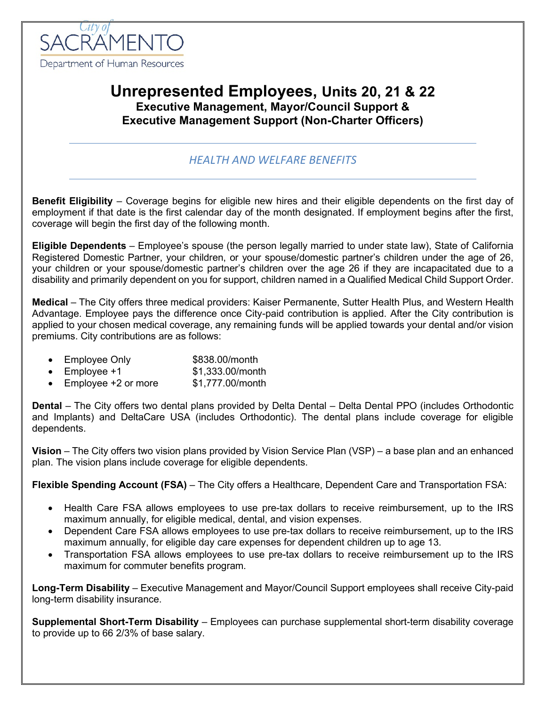

# **Unrepresented Employees, Units 20, 21 & 22 Executive Management, Mayor/Council Support & Executive Management Support (Non-Charter Officers)**

## *HEALTH AND WELFARE BENEFITS*

**Benefit Eligibility** – Coverage begins for eligible new hires and their eligible dependents on the first day of employment if that date is the first calendar day of the month designated. If employment begins after the first, coverage will begin the first day of the following month.

**Eligible Dependents** – Employee's spouse (the person legally married to under state law), State of California Registered Domestic Partner, your children, or your spouse/domestic partner's children under the age of 26, your children or your spouse/domestic partner's children over the age 26 if they are incapacitated due to a disability and primarily dependent on you for support, children named in a Qualified Medical Child Support Order.

**Medical** – The City offers three medical providers: Kaiser Permanente, Sutter Health Plus, and Western Health Advantage. Employee pays the difference once City-paid contribution is applied. After the City contribution is applied to your chosen medical coverage, any remaining funds will be applied towards your dental and/or vision premiums. City contributions are as follows:

- Employee Only \$838.00/month
- Employee  $+1$  \$1,333.00/month
- Employee +2 or more \$1,777.00/month

**Dental** – The City offers two dental plans provided by Delta Dental – Delta Dental PPO (includes Orthodontic and Implants) and DeltaCare USA (includes Orthodontic). The dental plans include coverage for eligible dependents.

**Vision** – The City offers two vision plans provided by Vision Service Plan (VSP) – a base plan and an enhanced plan. The vision plans include coverage for eligible dependents.

**Flexible Spending Account (FSA)** – The City offers a Healthcare, Dependent Care and Transportation FSA:

- Health Care FSA allows employees to use pre-tax dollars to receive reimbursement, up to the IRS maximum annually, for eligible medical, dental, and vision expenses.
- Dependent Care FSA allows employees to use pre-tax dollars to receive reimbursement, up to the IRS maximum annually, for eligible day care expenses for dependent children up to age 13.
- Transportation FSA allows employees to use pre-tax dollars to receive reimbursement up to the IRS maximum for commuter benefits program.

**Long-Term Disability** – Executive Management and Mayor/Council Support employees shall receive City-paid long-term disability insurance.

**Supplemental Short-Term Disability** – Employees can purchase supplemental short-term disability coverage to provide up to 66 2/3% of base salary.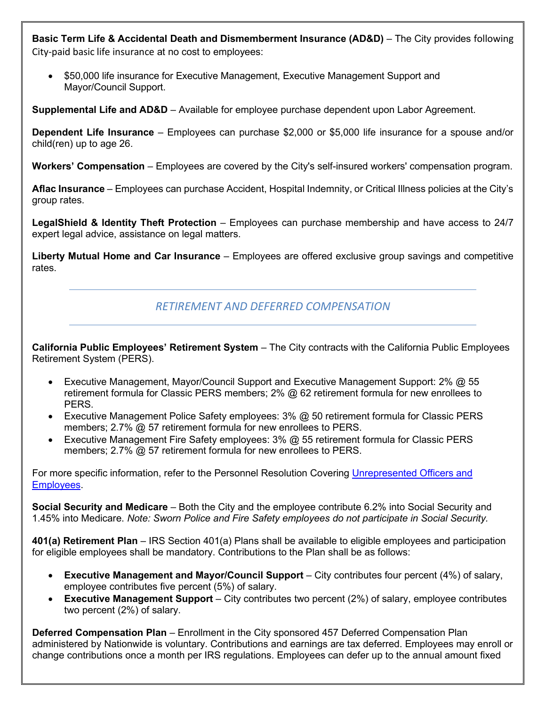**Basic Term Life & Accidental Death and Dismemberment Insurance (AD&D)** – The City provides following City-paid basic life insurance at no cost to employees:

• \$50,000 life insurance for Executive Management, Executive Management Support and Mayor/Council Support.

**Supplemental Life and AD&D** – Available for employee purchase dependent upon Labor Agreement.

**Dependent Life Insurance** – Employees can purchase \$2,000 or \$5,000 life insurance for a spouse and/or child(ren) up to age 26.

**Workers' Compensation** – Employees are covered by the City's self-insured workers' compensation program.

**Aflac Insurance** – Employees can purchase Accident, Hospital Indemnity, or Critical Illness policies at the City's group rates.

**LegalShield & Identity Theft Protection** – Employees can purchase membership and have access to 24/7 expert legal advice, assistance on legal matters.

**Liberty Mutual Home and Car Insurance** – Employees are offered exclusive group savings and competitive rates.

## *RETIREMENT AND DEFERRED COMPENSATION*

**California Public Employees' Retirement System** – The City contracts with the California Public Employees Retirement System (PERS).

- Executive Management, Mayor/Council Support and Executive Management Support: 2% @ 55 retirement formula for Classic PERS members; 2% @ 62 retirement formula for new enrollees to PERS.
- Executive Management Police Safety employees: 3% @ 50 retirement formula for Classic PERS members; 2.7% @ 57 retirement formula for new enrollees to PERS.
- Executive Management Fire Safety employees: 3% @ 55 retirement formula for Classic PERS members; 2.7% @ 57 retirement formula for new enrollees to PERS.

For more specific information, refer to the Personnel Resolution Covering [Unrepresented Officers and](http://www.cityofsacramento.org/HR/Divisions/Labor-Relations/Labor-Agreements)  [Employees.](http://www.cityofsacramento.org/HR/Divisions/Labor-Relations/Labor-Agreements)

**Social Security and Medicare** – Both the City and the employee contribute 6.2% into Social Security and 1.45% into Medicare. *Note: Sworn Police and Fire Safety employees do not participate in Social Security.*

**401(a) Retirement Plan** – IRS Section 401(a) Plans shall be available to eligible employees and participation for eligible employees shall be mandatory. Contributions to the Plan shall be as follows:

- **Executive Management and Mayor/Council Support** City contributes four percent (4%) of salary, employee contributes five percent (5%) of salary.
- **Executive Management Support** City contributes two percent (2%) of salary, employee contributes two percent (2%) of salary.

**Deferred Compensation Plan** – Enrollment in the City sponsored 457 Deferred Compensation Plan administered by Nationwide is voluntary. Contributions and earnings are tax deferred. Employees may enroll or change contributions once a month per IRS regulations. Employees can defer up to the annual amount fixed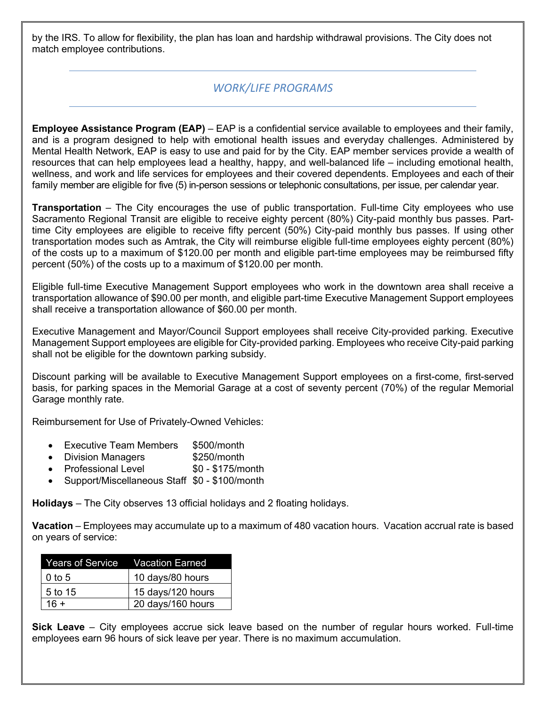by the IRS. To allow for flexibility, the plan has loan and hardship withdrawal provisions. The City does not match employee contributions.

#### *WORK/LIFE PROGRAMS*

**Employee Assistance Program (EAP)** – EAP is a confidential service available to employees and their family, and is a program designed to help with emotional health issues and everyday challenges. Administered by Mental Health Network, EAP is easy to use and paid for by the City. EAP member services provide a wealth of resources that can help employees lead a healthy, happy, and well-balanced life – including emotional health, wellness, and work and life services for employees and their covered dependents. Employees and each of their family member are eligible for five (5) in-person sessions or telephonic consultations, per issue, per calendar year.

**Transportation** – The City encourages the use of public transportation. Full-time City employees who use Sacramento Regional Transit are eligible to receive eighty percent (80%) City-paid monthly bus passes. Parttime City employees are eligible to receive fifty percent (50%) City-paid monthly bus passes. If using other transportation modes such as Amtrak, the City will reimburse eligible full-time employees eighty percent (80%) of the costs up to a maximum of \$120.00 per month and eligible part-time employees may be reimbursed fifty percent (50%) of the costs up to a maximum of \$120.00 per month.

Eligible full-time Executive Management Support employees who work in the downtown area shall receive a transportation allowance of \$90.00 per month, and eligible part-time Executive Management Support employees shall receive a transportation allowance of \$60.00 per month.

Executive Management and Mayor/Council Support employees shall receive City-provided parking. Executive Management Support employees are eligible for City-provided parking. Employees who receive City-paid parking shall not be eligible for the downtown parking subsidy.

Discount parking will be available to Executive Management Support employees on a first-come, first-served basis, for parking spaces in the Memorial Garage at a cost of seventy percent (70%) of the regular Memorial Garage monthly rate.

Reimbursement for Use of Privately-Owned Vehicles:

- Executive Team Members \$500/month
- Division Managers **\$250/month**
- Professional Level \$0 \$175/month
- Support/Miscellaneous Staff \$0 \$100/month

**Holidays** – The City observes 13 official holidays and 2 floating holidays.

**Vacation** – Employees may accumulate up to a maximum of 480 vacation hours. Vacation accrual rate is based on years of service:

| Years of Service    Vacation Earned |                   |
|-------------------------------------|-------------------|
| $0$ to 5                            | 10 days/80 hours  |
| 5 to 15                             | 15 days/120 hours |
| $16 +$                              | 20 days/160 hours |

**Sick Leave** – City employees accrue sick leave based on the number of regular hours worked. Full-time employees earn 96 hours of sick leave per year. There is no maximum accumulation.